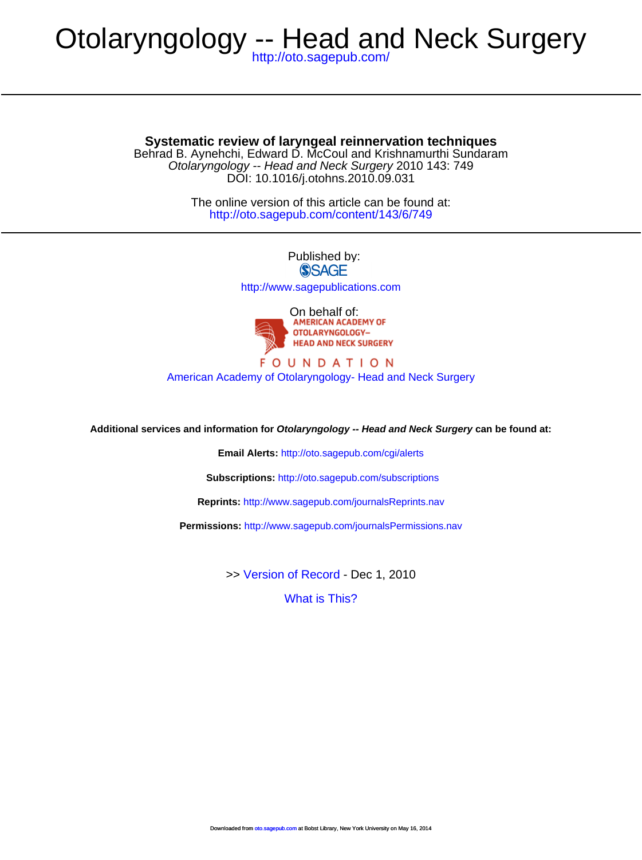## <http://oto.sagepub.com/> Otolaryngology -- Head and Neck Surgery

DOI: 10.1016/j.otohns.2010.09.031 Otolaryngology -- Head and Neck Surgery 2010 143: 749 Behrad B. Aynehchi, Edward D. McCoul and Krishnamurthi Sundaram **Systematic review of laryngeal reinnervation techniques**

> <http://oto.sagepub.com/content/143/6/749> The online version of this article can be found at:

> > Published by: **SSAGE** <http://www.sagepublications.com>



#### **FOUNDATION** [American Academy of Otolaryngology- Head and Neck Surgery](http://www.entnet.org)

**Additional services and information for Otolaryngology -- Head and Neck Surgery can be found at:**

**Email Alerts:** <http://oto.sagepub.com/cgi/alerts>

**Subscriptions:** <http://oto.sagepub.com/subscriptions>

**Reprints:** <http://www.sagepub.com/journalsReprints.nav>

**Permissions:** <http://www.sagepub.com/journalsPermissions.nav>

>> [Version of Record -](http://oto.sagepub.com/content/143/6/749.full.pdf) Dec 1, 2010

[What is This?](http://online.sagepub.com/site/sphelp/vorhelp.xhtml)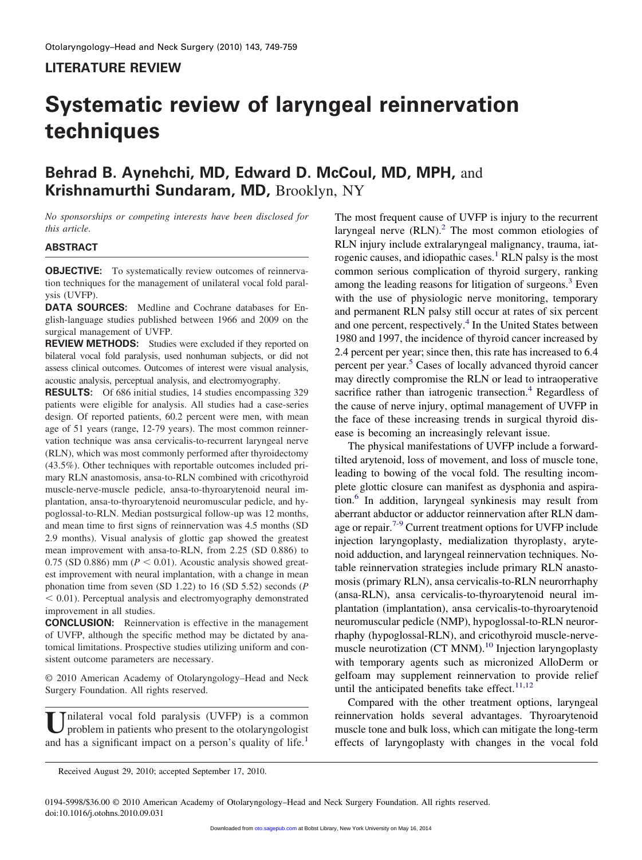#### **LITERATURE REVIEW**

# **Systematic review of laryngeal reinnervation techniques**

### **Behrad B. Aynehchi, MD, Edward D. McCoul, MD, MPH,** and **Krishnamurthi Sundaram, MD,** Brooklyn, NY

*No sponsorships or competing interests have been disclosed for this article.*

#### **ABSTRACT**

**OBJECTIVE:** To systematically review outcomes of reinnervation techniques for the management of unilateral vocal fold paralysis (UVFP).

**DATA SOURCES:** Medline and Cochrane databases for English-language studies published between 1966 and 2009 on the surgical management of UVFP.

**REVIEW METHODS:** Studies were excluded if they reported on bilateral vocal fold paralysis, used nonhuman subjects, or did not assess clinical outcomes. Outcomes of interest were visual analysis, acoustic analysis, perceptual analysis, and electromyography.

**RESULTS:** Of 686 initial studies, 14 studies encompassing 329 patients were eligible for analysis. All studies had a case-series design. Of reported patients, 60.2 percent were men, with mean age of 51 years (range, 12-79 years). The most common reinnervation technique was ansa cervicalis-to-recurrent laryngeal nerve (RLN), which was most commonly performed after thyroidectomy (43.5%). Other techniques with reportable outcomes included primary RLN anastomosis, ansa-to-RLN combined with cricothyroid muscle-nerve-muscle pedicle, ansa-to-thyroarytenoid neural implantation, ansa-to-thyroarytenoid neuromuscular pedicle, and hypoglossal-to-RLN. Median postsurgical follow-up was 12 months, and mean time to first signs of reinnervation was 4.5 months (SD 2.9 months). Visual analysis of glottic gap showed the greatest mean improvement with ansa-to-RLN, from 2.25 (SD 0.886) to 0.75 (SD 0.886) mm ( $P < 0.01$ ). Acoustic analysis showed greatest improvement with neural implantation, with a change in mean phonation time from seven (SD 1.22) to 16 (SD 5.52) seconds (*P*  $0.01$ ). Perceptual analysis and electromyography demonstrated improvement in all studies.

**CONCLUSION:** Reinnervation is effective in the management of UVFP, although the specific method may be dictated by anatomical limitations. Prospective studies utilizing uniform and consistent outcome parameters are necessary.

© 2010 American Academy of Otolaryngology–Head and Neck Surgery Foundation. All rights reserved.

**U**nilateral vocal fold paralysis (UVFP) is a common problem in patients who present to the otolaryngologist and has a significant impact on a person's quality of life.<sup>[1](#page-10-0)</sup>

The most frequent cause of UVFP is injury to the recurrent laryngeal nerve (RLN).<sup>[2](#page-10-0)</sup> The most common etiologies of RLN injury include extralaryngeal malignancy, trauma, iat-rogenic causes, and idiopathic cases.<sup>[1](#page-10-0)</sup> RLN palsy is the most common serious complication of thyroid surgery, ranking among the leading reasons for litigation of surgeons.[3](#page-10-0) Even with the use of physiologic nerve monitoring, temporary and permanent RLN palsy still occur at rates of six percent and one percent, respectively.<sup>4</sup> In the United States between 1980 and 1997, the incidence of thyroid cancer increased by 2.4 percent per year; since then, this rate has increased to 6.4 percent per year.[5](#page-10-0) Cases of locally advanced thyroid cancer may directly compromise the RLN or lead to intraoperative sacrifice rather than iatrogenic transection.<sup>[4](#page-10-0)</sup> Regardless of the cause of nerve injury, optimal management of UVFP in the face of these increasing trends in surgical thyroid disease is becoming an increasingly relevant issue.

The physical manifestations of UVFP include a forwardtilted arytenoid, loss of movement, and loss of muscle tone, leading to bowing of the vocal fold. The resulting incomplete glottic closure can manifest as dysphonia and aspiration[.6](#page-10-0) In addition, laryngeal synkinesis may result from aberrant abductor or adductor reinnervation after RLN damage or repair.<sup>7-9</sup> Current treatment options for UVFP include injection laryngoplasty, medialization thyroplasty, arytenoid adduction, and laryngeal reinnervation techniques. Notable reinnervation strategies include primary RLN anastomosis (primary RLN), ansa cervicalis-to-RLN neurorrhaphy (ansa-RLN), ansa cervicalis-to-thyroarytenoid neural implantation (implantation), ansa cervicalis-to-thyroarytenoid neuromuscular pedicle (NMP), hypoglossal-to-RLN neurorrhaphy (hypoglossal-RLN), and cricothyroid muscle-nerve-muscle neurotization (CT MNM).<sup>[10](#page-10-0)</sup> Injection laryngoplasty with temporary agents such as micronized AlloDerm or gelfoam may supplement reinnervation to provide relief until the anticipated benefits take effect. $11,12$ 

Compared with the other treatment options, laryngeal reinnervation holds several advantages. Thyroarytenoid muscle tone and bulk loss, which can mitigate the long-term effects of laryngoplasty with changes in the vocal fold

0194-5998/\$36.00 © 2010 American Academy of Otolaryngology–Head and Neck Surgery Foundation. All rights reserved. doi:10.1016/j.otohns.2010.09.031

Received August 29, 2010; accepted September 17, 2010.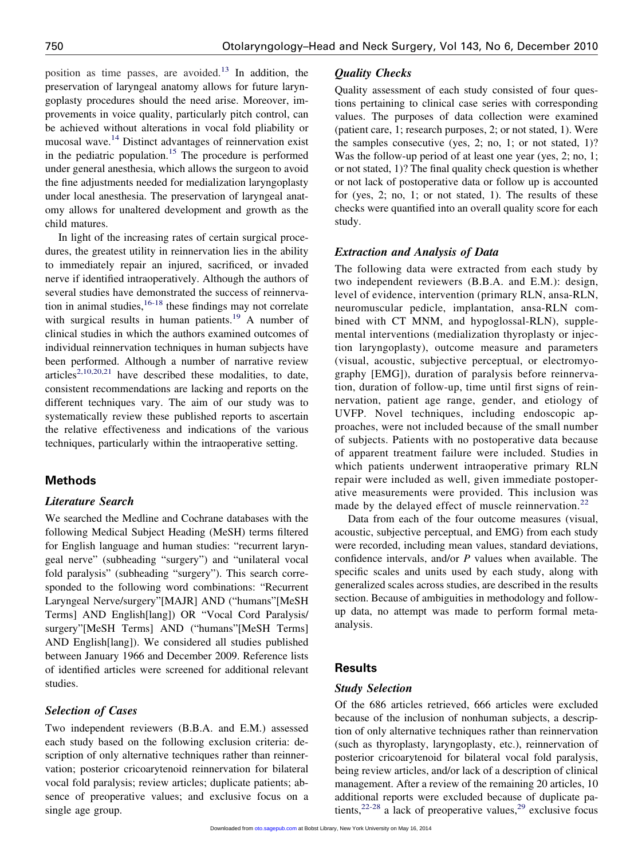position as time passes, are avoided.<sup>[13](#page-10-0)</sup> In addition, the preservation of laryngeal anatomy allows for future laryngoplasty procedures should the need arise. Moreover, improvements in voice quality, particularly pitch control, can be achieved without alterations in vocal fold pliability or mucosal wave[.14](#page-10-0) Distinct advantages of reinnervation exist in the pediatric population.<sup>15</sup> The procedure is performed under general anesthesia, which allows the surgeon to avoid the fine adjustments needed for medialization laryngoplasty under local anesthesia. The preservation of laryngeal anatomy allows for unaltered development and growth as the child matures.

In light of the increasing rates of certain surgical procedures, the greatest utility in reinnervation lies in the ability to immediately repair an injured, sacrificed, or invaded nerve if identified intraoperatively. Although the authors of several studies have demonstrated the success of reinnervation in animal studies,  $16-18$  these findings may not correlate with surgical results in human patients.<sup>[19](#page-10-0)</sup> A number of clinical studies in which the authors examined outcomes of individual reinnervation techniques in human subjects have been performed. Although a number of narrative review articles<sup>[2,10,20,21](#page-10-0)</sup> have described these modalities, to date, consistent recommendations are lacking and reports on the different techniques vary. The aim of our study was to systematically review these published reports to ascertain the relative effectiveness and indications of the various techniques, particularly within the intraoperative setting.

#### **Methods**

#### *Literature Search*

We searched the Medline and Cochrane databases with the following Medical Subject Heading (MeSH) terms filtered for English language and human studies: "recurrent laryngeal nerve" (subheading "surgery") and "unilateral vocal fold paralysis" (subheading "surgery"). This search corresponded to the following word combinations: "Recurrent Laryngeal Nerve/surgery"[MAJR] AND ("humans"[MeSH Terms] AND English[lang]) OR "Vocal Cord Paralysis/ surgery"[MeSH Terms] AND ("humans"[MeSH Terms] AND English[lang]). We considered all studies published between January 1966 and December 2009. Reference lists of identified articles were screened for additional relevant studies.

#### *Selection of Cases*

Two independent reviewers (B.B.A. and E.M.) assessed each study based on the following exclusion criteria: description of only alternative techniques rather than reinnervation; posterior cricoarytenoid reinnervation for bilateral vocal fold paralysis; review articles; duplicate patients; absence of preoperative values; and exclusive focus on a single age group.

#### *Quality Checks*

Quality assessment of each study consisted of four questions pertaining to clinical case series with corresponding values. The purposes of data collection were examined (patient care, 1; research purposes, 2; or not stated, 1). Were the samples consecutive (yes, 2; no, 1; or not stated, 1)? Was the follow-up period of at least one year (yes, 2; no, 1; or not stated, 1)? The final quality check question is whether or not lack of postoperative data or follow up is accounted for (yes, 2; no, 1; or not stated, 1). The results of these checks were quantified into an overall quality score for each study.

#### *Extraction and Analysis of Data*

The following data were extracted from each study by two independent reviewers (B.B.A. and E.M.): design, level of evidence, intervention (primary RLN, ansa-RLN, neuromuscular pedicle, implantation, ansa-RLN combined with CT MNM, and hypoglossal-RLN), supplemental interventions (medialization thyroplasty or injection laryngoplasty), outcome measure and parameters (visual, acoustic, subjective perceptual, or electromyography [EMG]), duration of paralysis before reinnervation, duration of follow-up, time until first signs of reinnervation, patient age range, gender, and etiology of UVFP. Novel techniques, including endoscopic approaches, were not included because of the small number of subjects. Patients with no postoperative data because of apparent treatment failure were included. Studies in which patients underwent intraoperative primary RLN repair were included as well, given immediate postoperative measurements were provided. This inclusion was made by the delayed effect of muscle reinnervation.<sup>[22](#page-10-0)</sup>

Data from each of the four outcome measures (visual, acoustic, subjective perceptual, and EMG) from each study were recorded, including mean values, standard deviations, confidence intervals, and/or *P* values when available. The specific scales and units used by each study, along with generalized scales across studies, are described in the results section. Because of ambiguities in methodology and followup data, no attempt was made to perform formal metaanalysis.

#### **Results**

#### *Study Selection*

Of the 686 articles retrieved, 666 articles were excluded because of the inclusion of nonhuman subjects, a description of only alternative techniques rather than reinnervation (such as thyroplasty, laryngoplasty, etc.), reinnervation of posterior cricoarytenoid for bilateral vocal fold paralysis, being review articles, and/or lack of a description of clinical management. After a review of the remaining 20 articles, 10 additional reports were excluded because of duplicate patients,  $22-28$  a lack of preoperative values,  $29$  exclusive focus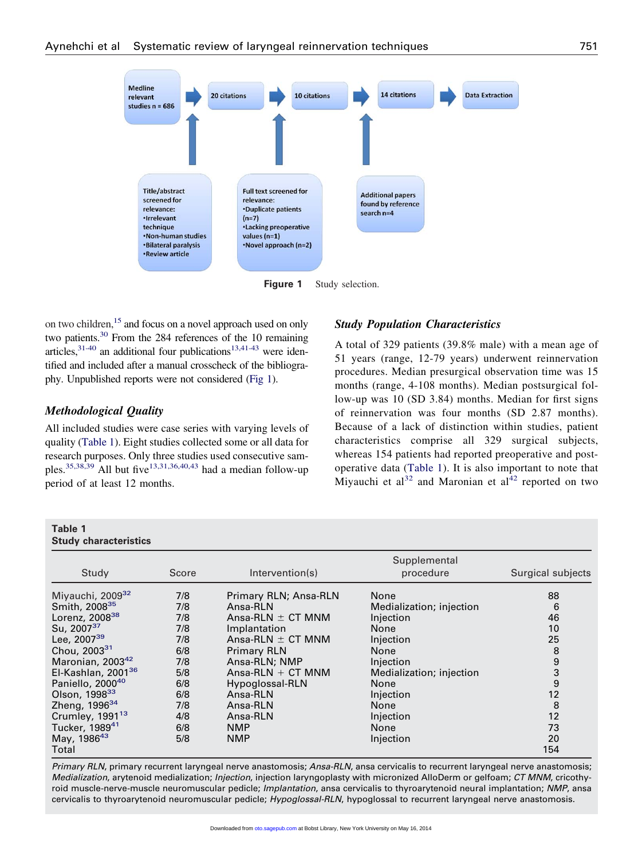

**Figure 1** Study selection.

on two children,<sup>15</sup> and focus on a novel approach used on only two patients[.30](#page-10-0) From the 284 references of the 10 remaining articles,  $31-40$  an additional four publications<sup>13,41-43</sup> were identified and included after a manual crosscheck of the bibliography. Unpublished reports were not considered (Fig 1).

#### *Methodological Quality*

All included studies were case series with varying levels of quality (Table 1). Eight studies collected some or all data for research purposes. Only three studies used consecutive samples.<sup>35,38,39</sup> All but five<sup>13,31,36,40,43</sup> had a median follow-up period of at least 12 months.

#### *Study Population Characteristics*

A total of 329 patients (39.8% male) with a mean age of 51 years (range, 12-79 years) underwent reinnervation procedures. Median presurgical observation time was 15 months (range, 4-108 months). Median postsurgical follow-up was 10 (SD 3.84) months. Median for first signs of reinnervation was four months (SD 2.87 months). Because of a lack of distinction within studies, patient characteristics comprise all 329 surgical subjects, whereas 154 patients had reported preoperative and postoperative data (Table 1). It is also important to note that Miyauchi et al<sup>[32](#page-11-0)</sup> and Maronian et al<sup>[42](#page-11-0)</sup> reported on two

| Table 1<br><b>Study characteristics</b> |       |                       |                          |                   |
|-----------------------------------------|-------|-----------------------|--------------------------|-------------------|
|                                         |       |                       | Supplemental             |                   |
| Study                                   | Score | Intervention(s)       | procedure                | Surgical subjects |
| Miyauchi, 2009 <sup>32</sup>            | 7/8   | Primary RLN; Ansa-RLN | None                     | 88                |
| Smith, 2008 <sup>35</sup>               | 7/8   | Ansa-RLN              | Medialization; injection | 6                 |
| Lorenz, 2008 <sup>38</sup>              | 7/8   | Ansa-RLN $\pm$ CT MNM | Injection                | 46                |
| Su, 200737                              | 7/8   | Implantation          | None                     | 10                |
| Lee, 2007 <sup>39</sup>                 | 7/8   | Ansa-RLN $\pm$ CT MNM | Injection                | 25                |
| Chou, 2003 <sup>31</sup>                | 6/8   | <b>Primary RLN</b>    | None                     | 8                 |
| Maronian, 200342                        | 7/8   | Ansa-RLN; NMP         | Injection                | 9                 |
| El-Kashlan, 2001 <sup>36</sup>          | 5/8   | Ansa-RLN $+$ CT MNM   | Medialization; injection | 3                 |
| Paniello, 200040                        | 6/8   | Hypoglossal-RLN       | None                     | 9                 |
| Olson, 1998 <sup>33</sup>               | 6/8   | Ansa-RLN              | Injection                | 12                |
| Zheng, 1996 <sup>34</sup>               | 7/8   | Ansa-RLN              | None                     | 8                 |
| Crumley, 1991 <sup>13</sup>             | 4/8   | Ansa-RLN              | Injection                | 12                |
| Tucker, 1989 <sup>41</sup>              | 6/8   | <b>NMP</b>            | None                     | 73                |
| May, 198643                             | 5/8   | <b>NMP</b>            | Injection                | 20                |
| Total                                   |       |                       |                          | 154               |

*Primary RLN*, primary recurrent laryngeal nerve anastomosis; *Ansa-RLN*, ansa cervicalis to recurrent laryngeal nerve anastomosis; *Medialization*, arytenoid medialization; *Injection*, injection laryngoplasty with micronized AlloDerm or gelfoam; *CT MNM*, cricothyroid muscle-nerve-muscle neuromuscular pedicle; *Implantation*, ansa cervicalis to thyroarytenoid neural implantation; *NMP*, ansa cervicalis to thyroarytenoid neuromuscular pedicle; *Hypoglossal-RLN*, hypoglossal to recurrent laryngeal nerve anastomosis.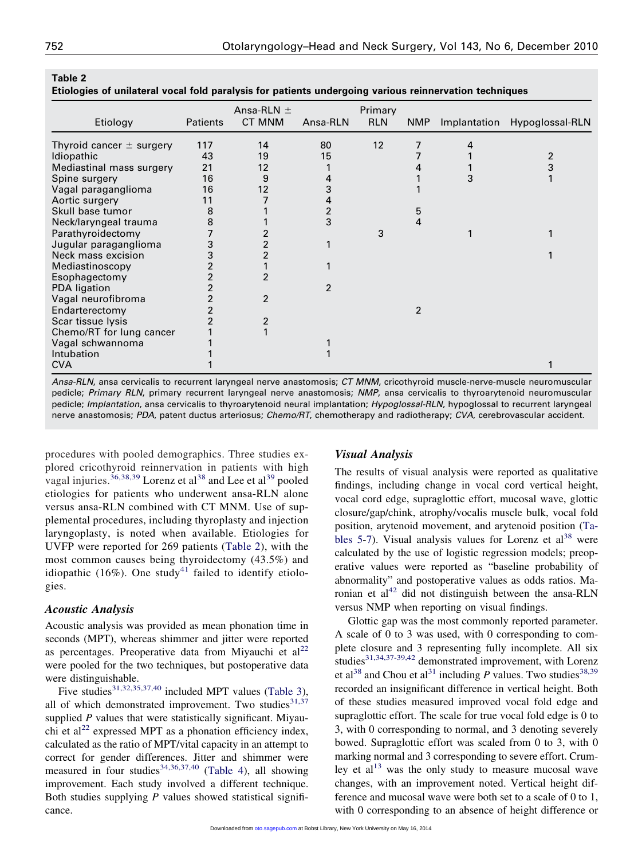| Etiology                     | <b>Patients</b> | Ansa-RLN $\pm$<br>CT MNM | Ansa-RLN | Primary<br><b>RLN</b> | NMP |   | Implantation Hypoglossal-RLN |
|------------------------------|-----------------|--------------------------|----------|-----------------------|-----|---|------------------------------|
|                              | 117             | 14                       | 80       | 12                    |     | 4 |                              |
| Thyroid cancer $\pm$ surgery | 43              | 19                       | 15       |                       |     |   | 2                            |
| <b>Idiopathic</b>            |                 |                          |          |                       |     |   |                              |
| Mediastinal mass surgery     | 21              | 12                       |          |                       |     |   |                              |
| Spine surgery                | 16              | 9                        | 4        |                       |     |   |                              |
| Vagal paraganglioma          | 16              | 12                       | 3        |                       |     |   |                              |
| Aortic surgery               | 11              |                          | 4        |                       |     |   |                              |
| Skull base tumor             | 8               |                          | 2        |                       | 5   |   |                              |
| Neck/laryngeal trauma        | 8               |                          | 3        |                       | 4   |   |                              |
| Parathyroidectomy            |                 |                          |          | 3                     |     |   |                              |
| Jugular paraganglioma        | 3               |                          |          |                       |     |   |                              |
| Neck mass excision           |                 |                          |          |                       |     |   |                              |
| Mediastinoscopy              |                 |                          |          |                       |     |   |                              |
| Esophagectomy                |                 |                          |          |                       |     |   |                              |
| <b>PDA</b> ligation          |                 |                          | 2        |                       |     |   |                              |
| Vagal neurofibroma           |                 |                          |          |                       |     |   |                              |
| Endarterectomy               |                 |                          |          |                       | 2   |   |                              |
| Scar tissue lysis            |                 |                          |          |                       |     |   |                              |
| Chemo/RT for lung cancer     |                 |                          |          |                       |     |   |                              |
| Vagal schwannoma             |                 |                          |          |                       |     |   |                              |
| Intubation                   |                 |                          |          |                       |     |   |                              |
| <b>CVA</b>                   |                 |                          |          |                       |     |   |                              |

**Etiologies of unilateral vocal fold paralysis for patients undergoing various reinnervation techniques**

*Ansa-RLN*, ansa cervicalis to recurrent laryngeal nerve anastomosis; *CT MNM*, cricothyroid muscle-nerve-muscle neuromuscular pedicle; *Primary RLN*, primary recurrent laryngeal nerve anastomosis; *NMP*, ansa cervicalis to thyroarytenoid neuromuscular pedicle; *Implantation*, ansa cervicalis to thyroarytenoid neural implantation; *Hypoglossal-RLN*, hypoglossal to recurrent laryngeal nerve anastomosis; *PDA*, patent ductus arteriosus; *Chemo/RT*, chemotherapy and radiotherapy; *CVA*, cerebrovascular accident.

procedures with pooled demographics. Three studies explored cricothyroid reinnervation in patients with high vagal injuries.<sup>[36,38,39](#page-11-0)</sup> Lorenz et al<sup>[38](#page-11-0)</sup> and Lee et al<sup>[39](#page-11-0)</sup> pooled etiologies for patients who underwent ansa-RLN alone versus ansa-RLN combined with CT MNM. Use of supplemental procedures, including thyroplasty and injection laryngoplasty, is noted when available. Etiologies for UVFP were reported for 269 patients (Table 2), with the most common causes being thyroidectomy (43.5%) and idiopathic (16%). One study<sup>[41](#page-11-0)</sup> failed to identify etiologies.

#### *Acoustic Analysis*

Acoustic analysis was provided as mean phonation time in seconds (MPT), whereas shimmer and jitter were reported as percentages. Preoperative data from Miyauchi et  $al^{22}$  $al^{22}$  $al^{22}$ were pooled for the two techniques, but postoperative data were distinguishable.

Five studies<sup>[31,32,35,37,40](#page-10-0)</sup> included MPT values [\(Table 3\)](#page-5-0), all of which demonstrated improvement. Two studies $31,37$ supplied *P* values that were statistically significant. Miyau-chi et al<sup>[22](#page-10-0)</sup> expressed MPT as a phonation efficiency index, calculated as the ratio of MPT/vital capacity in an attempt to correct for gender differences. Jitter and shimmer were measured in four studies<sup>[34,36,37,40](#page-11-0)</sup> [\(Table 4\)](#page-5-0), all showing improvement. Each study involved a different technique. Both studies supplying *P* values showed statistical significance.

#### *Visual Analysis*

The results of visual analysis were reported as qualitative findings, including change in vocal cord vertical height, vocal cord edge, supraglottic effort, mucosal wave, glottic closure/gap/chink, atrophy/vocalis muscle bulk, vocal fold position, arytenoid movement, and arytenoid position [\(Ta](#page-6-0)[bles 5-](#page-6-0)[7\)](#page-7-0). Visual analysis values for Lorenz et  $al^{38}$  $al^{38}$  $al^{38}$  were calculated by the use of logistic regression models; preoperative values were reported as "baseline probability of abnormality" and postoperative values as odds ratios. Maronian et  $al<sup>42</sup>$  did not distinguish between the ansa-RLN versus NMP when reporting on visual findings.

Glottic gap was the most commonly reported parameter. A scale of 0 to 3 was used, with 0 corresponding to complete closure and 3 representing fully incomplete. All six studies<sup>31,34,37-39,42</sup> demonstrated improvement, with Lorenz et al<sup>38</sup> and Chou et al<sup>[31](#page-10-0)</sup> including *P* values. Two studies<sup>38,39</sup> recorded an insignificant difference in vertical height. Both of these studies measured improved vocal fold edge and supraglottic effort. The scale for true vocal fold edge is 0 to 3, with 0 corresponding to normal, and 3 denoting severely bowed. Supraglottic effort was scaled from 0 to 3, with 0 marking normal and 3 corresponding to severe effort. Crumley et  $al<sup>13</sup>$  was the only study to measure mucosal wave changes, with an improvement noted. Vertical height difference and mucosal wave were both set to a scale of 0 to 1, with 0 corresponding to an absence of height difference or

**Table 2**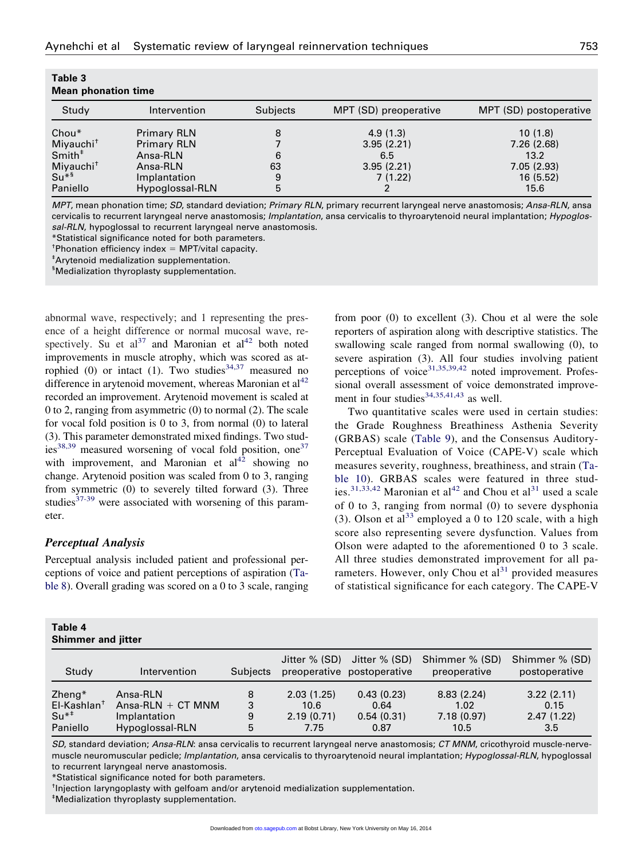<span id="page-5-0"></span>

| Table 3<br><b>Mean phonation time</b> |                    |                 |                       |                        |
|---------------------------------------|--------------------|-----------------|-----------------------|------------------------|
| Study                                 | Intervention       | <b>Subjects</b> | MPT (SD) preoperative | MPT (SD) postoperative |
| $Chou*$                               | <b>Primary RLN</b> | 8               | 4.9(1.3)              | 10(1.8)                |
| Miyauchi <sup>†</sup>                 | <b>Primary RLN</b> |                 | 3.95(2.21)            | 7.26(2.68)             |
| $Smith+$                              | Ansa-RLN           | 6               | 6.5                   | 13.2                   |
| Miyauchi <sup>+</sup>                 | Ansa-RLN           | 63              | 3.95(2.21)            | 7.05(2.93)             |
| $Su*§$                                | Implantation       | 9               | 7(1.22)               | 16(5.52)               |
| Paniello                              | Hypoglossal-RLN    | 5               |                       | 15.6                   |

*MPT*, mean phonation time; *SD*, standard deviation; *Primary RLN*, primary recurrent laryngeal nerve anastomosis; *Ansa-RLN*, ansa cervicalis to recurrent laryngeal nerve anastomosis; *Implantation*, ansa cervicalis to thyroarytenoid neural implantation; *Hypoglossal-RLN*, hypoglossal to recurrent laryngeal nerve anastomosis.

\*Statistical significance noted for both parameters.

<sup>†</sup>Phonation efficiency index = MPT/vital capacity.

‡ Arytenoid medialization supplementation.

§ Medialization thyroplasty supplementation.

abnormal wave, respectively; and 1 representing the presence of a height difference or normal mucosal wave, respectively. Su et al<sup>37</sup> and Maronian et al<sup>42</sup> both noted improvements in muscle atrophy, which was scored as at-rophied (0) or intact (1). Two studies<sup>[34,37](#page-11-0)</sup> measured no difference in arytenoid movement, whereas Maronian et  $al<sup>42</sup>$  $al<sup>42</sup>$  $al<sup>42</sup>$ recorded an improvement. Arytenoid movement is scaled at 0 to 2, ranging from asymmetric (0) to normal (2). The scale for vocal fold position is 0 to 3, from normal (0) to lateral (3). This parameter demonstrated mixed findings. Two stud-ies<sup>38,39</sup> measured worsening of vocal fold position, one<sup>[37](#page-11-0)</sup> with improvement, and Maronian et  $al<sup>42</sup>$  $al<sup>42</sup>$  $al<sup>42</sup>$  showing no change. Arytenoid position was scaled from 0 to 3, ranging from symmetric (0) to severely tilted forward (3). Three studies $^{37-39}$  were associated with worsening of this parameter.

#### *Perceptual Analysis*

**Table 4** 

Perceptual analysis included patient and professional perceptions of voice and patient perceptions of aspiration [\(Ta](#page-7-0)[ble 8\)](#page-7-0). Overall grading was scored on a 0 to 3 scale, ranging

from poor (0) to excellent (3). Chou et al were the sole reporters of aspiration along with descriptive statistics. The swallowing scale ranged from normal swallowing (0), to severe aspiration (3). All four studies involving patient perceptions of voice<sup>31,35,39,42</sup> noted improvement. Professional overall assessment of voice demonstrated improve-ment in four studies<sup>[34,35,41,43](#page-11-0)</sup> as well.

Two quantitative scales were used in certain studies: the Grade Roughness Breathiness Asthenia Severity (GRBAS) scale [\(Table 9\)](#page-8-0), and the Consensus Auditory-Perceptual Evaluation of Voice (CAPE-V) scale which measures severity, roughness, breathiness, and strain [\(Ta](#page-8-0)[ble 10\)](#page-8-0). GRBAS scales were featured in three stud-ies.<sup>[31,33,42](#page-10-0)</sup> Maronian et al<sup>[42](#page-11-0)</sup> and Chou et al<sup>[31](#page-10-0)</sup> used a scale of 0 to 3, ranging from normal (0) to severe dysphonia (3). Olson et al<sup>[33](#page-11-0)</sup> employed a 0 to 120 scale, with a high score also representing severe dysfunction. Values from Olson were adapted to the aforementioned 0 to 3 scale. All three studies demonstrated improvement for all parameters. However, only Chou et  $al<sup>31</sup>$  $al<sup>31</sup>$  $al<sup>31</sup>$  provided measures of statistical significance for each category. The CAPE-V

| Table 4<br><b>Shimmer and jitter</b>                        |                                                                    |             |                                          |                                                                 |                                          |                                         |
|-------------------------------------------------------------|--------------------------------------------------------------------|-------------|------------------------------------------|-----------------------------------------------------------------|------------------------------------------|-----------------------------------------|
| Study                                                       | Intervention                                                       | Subjects    |                                          | Jitter $\%$ (SD) Jitter $\%$ (SD)<br>preoperative postoperative | Shimmer % (SD)<br>preoperative           | Shimmer % (SD)<br>postoperative         |
| $Z$ heng*<br>$EI-Kashlan^{\dagger}$<br>$Su^{*}$<br>Paniello | Ansa-RLN<br>Ansa-RLN $+$ CT MNM<br>Implantation<br>Hypoglossal-RLN | 8<br>3<br>5 | 2.03(1.25)<br>10.6<br>2.19(0.71)<br>7.75 | 0.43(0.23)<br>0.64<br>0.54(0.31)<br>0.87                        | 8.83(2.24)<br>1.02<br>7.18(0.97)<br>10.5 | 3.22(2.11)<br>0.15<br>2.47(1.22)<br>3.5 |

*SD*, standard deviation; *Ansa-RLN*: ansa cervicalis to recurrent laryngeal nerve anastomosis; *CT MNM*, cricothyroid muscle-nervemuscle neuromuscular pedicle; *Implantation*, ansa cervicalis to thyroarytenoid neural implantation; *Hypoglossal-RLN*, hypoglossal to recurrent laryngeal nerve anastomosis.

\*Statistical significance noted for both parameters.

<sup>+</sup>Injection laryngoplasty with gelfoam and/or arytenoid medialization supplementation.

‡ Medialization thyroplasty supplementation.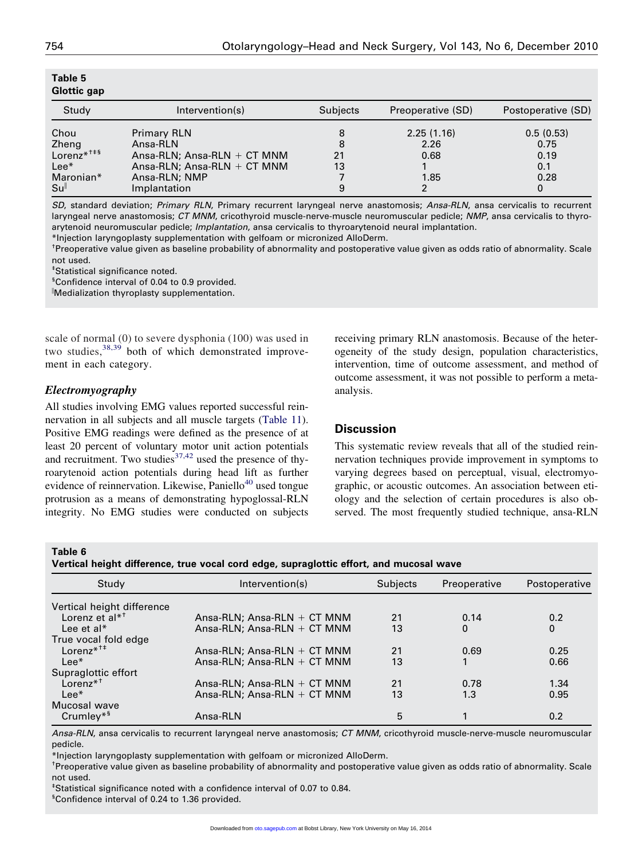| Preoperative (SD)<br>Postoperative (SD) |
|-----------------------------------------|
| 2.25(1.16)<br>0.5(0.53)                 |
| 2.26<br>0.75                            |
| 0.68<br>0.19                            |
| 0.1                                     |
| 0.28<br>1.85                            |
| 2<br>0                                  |
|                                         |

*SD*, standard deviation; *Primary RLN*, Primary recurrent laryngeal nerve anastomosis; *Ansa-RLN*, ansa cervicalis to recurrent laryngeal nerve anastomosis; *CT MNM*, cricothyroid muscle-nerve-muscle neuromuscular pedicle; *NMP*, ansa cervicalis to thyroarytenoid neuromuscular pedicle; *Implantation*, ansa cervicalis to thyroarytenoid neural implantation.

\*Injection laryngoplasty supplementation with gelfoam or micronized AlloDerm.

† Preoperative value given as baseline probability of abnormality and postoperative value given as odds ratio of abnormality. Scale not used.

‡ Statistical significance noted.

§ Confidence interval of 0.04 to 0.9 provided.

Medialization thyroplasty supplementation.

scale of normal (0) to severe dysphonia (100) was used in two studies,  $38,39$  both of which demonstrated improvement in each category.

#### *Electromyography*

All studies involving EMG values reported successful reinnervation in all subjects and all muscle targets [\(Table 11\)](#page-9-0). Positive EMG readings were defined as the presence of at least 20 percent of voluntary motor unit action potentials and recruitment. Two studies  $37,42$  used the presence of thyroarytenoid action potentials during head lift as further evidence of reinnervation. Likewise, Paniello<sup>40</sup> used tongue protrusion as a means of demonstrating hypoglossal-RLN integrity. No EMG studies were conducted on subjects receiving primary RLN anastomosis. Because of the heterogeneity of the study design, population characteristics, intervention, time of outcome assessment, and method of outcome assessment, it was not possible to perform a metaanalysis.

#### **Discussion**

This systematic review reveals that all of the studied reinnervation techniques provide improvement in symptoms to varying degrees based on perceptual, visual, electromyographic, or acoustic outcomes. An association between etiology and the selection of certain procedures is also observed. The most frequently studied technique, ansa-RLN

**Table 6**

**Vertical height difference, true vocal cord edge, supraglottic effort, and mucosal wave**

| Study                      | Intervention(s)                | <b>Subjects</b> | Preoperative | Postoperative |
|----------------------------|--------------------------------|-----------------|--------------|---------------|
| Vertical height difference |                                |                 |              |               |
| Lorenz et al* <sup>+</sup> | Ansa-RLN; $Ansa$ -RLN + CT MNM | 21              | 0.14         | 0.2           |
| Lee et al $*$              | Ansa-RLN; $Ansa$ -RLN + CT MNM | 13              | $\mathbf{0}$ | 0             |
| True vocal fold edge       |                                |                 |              |               |
| Lorenz $*^{++}$            | Ansa-RLN; $Ansa$ -RLN + CT MNM | 21              | 0.69         | 0.25          |
| $Lee^*$                    | Ansa-RLN; Ansa-RLN + CT MNM    | 13              |              | 0.66          |
| Supraglottic effort        |                                |                 |              |               |
| $Lorenz^{*}$               | Ansa-RLN; $Ansa$ -RLN + CT MNM | 21              | 0.78         | 1.34          |
| $Lee^*$                    | Ansa-RLN; Ansa-RLN + CT MNM    | 13              | 1.3          | 0.95          |
| Mucosal wave               |                                |                 |              |               |
| Crumlev <sup>*5</sup>      | Ansa-RLN                       | 5               |              | 0.2           |

*Ansa-RLN*, ansa cervicalis to recurrent laryngeal nerve anastomosis; *CT MNM*, cricothyroid muscle-nerve-muscle neuromuscular pedicle.

\*Injection laryngoplasty supplementation with gelfoam or micronized AlloDerm.

† Preoperative value given as baseline probability of abnormality and postoperative value given as odds ratio of abnormality. Scale not used.

‡ Statistical significance noted with a confidence interval of 0.07 to 0.84.

§ Confidence interval of 0.24 to 1.36 provided.

<span id="page-6-0"></span>**Table 5**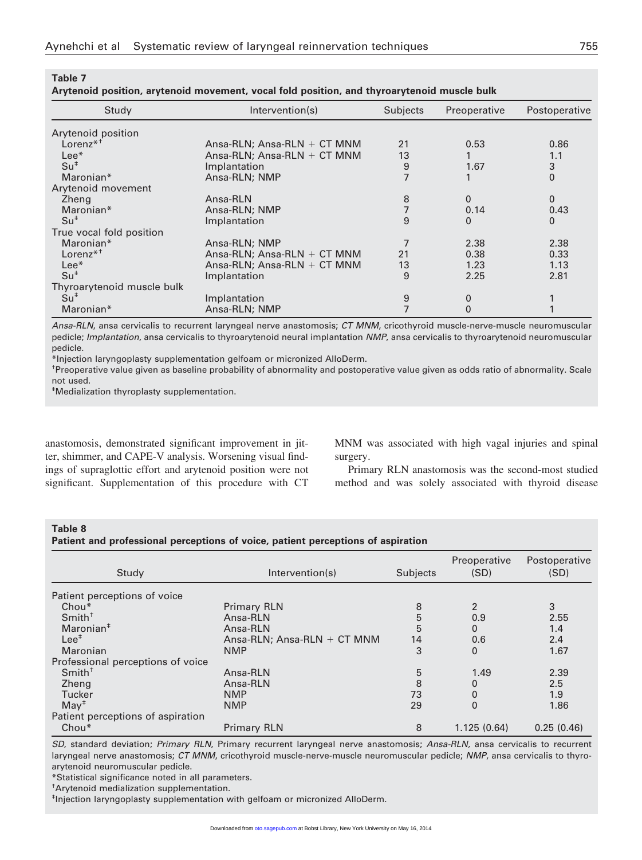|                            | Arytenoid position, arytenoid movement, vocal fold position, and thyroarytenoid muscle bulk |          |              |                |
|----------------------------|---------------------------------------------------------------------------------------------|----------|--------------|----------------|
| Study                      | Intervention(s)                                                                             | Subjects | Preoperative | Postoperative  |
| Arytenoid position         |                                                                                             |          |              |                |
| Lorenz $*$ <sup>†</sup>    | Ansa-RLN; $Ansa$ -RLN + CT MNM                                                              | 21       | 0.53         | 0.86           |
| $Lee*$                     | Ansa-RLN; $Ansa$ -RLN + CT MNM                                                              | 13       |              | 1.1            |
| $Su^*$                     | Implantation                                                                                | 9        | 1.67         | 3              |
| Maronian*                  | Ansa-RLN; NMP                                                                               |          |              | $\overline{0}$ |
| Arytenoid movement         |                                                                                             |          |              |                |
| Zheng                      | Ansa-RLN                                                                                    | 8        | $\mathbf{0}$ | $\Omega$       |
| Maronian*                  | Ansa-RLN; NMP                                                                               |          | 0.14         | 0.43           |
| $Su^*$                     | Implantation                                                                                | 9        | $\Omega$     | 0              |
| True vocal fold position   |                                                                                             |          |              |                |
| Maronian*                  | Ansa-RLN; NMP                                                                               |          | 2.38         | 2.38           |
| Lorenz $*$ <sup>†</sup>    | Ansa-RLN; $Ansa$ -RLN + CT MNM                                                              | 21       | 0.38         | 0.33           |
| $Lee*$                     | Ansa-RLN; $Ansa$ -RLN + CT MNM                                                              | 13       | 1.23         | 1.13           |
| $Su^*$                     | Implantation                                                                                | 9        | 2.25         | 2.81           |
| Thyroarytenoid muscle bulk |                                                                                             |          |              |                |
| $Su^{\ddagger}$            | Implantation                                                                                | 9        | 0            |                |
| Maronian*                  | Ansa-RLN; NMP                                                                               |          | 0            |                |

*Ansa-RLN*, ansa cervicalis to recurrent laryngeal nerve anastomosis; *CT MNM*, cricothyroid muscle-nerve-muscle neuromuscular pedicle; *Implantation*, ansa cervicalis to thyroarytenoid neural implantation *NMP*, ansa cervicalis to thyroarytenoid neuromuscular pedicle.

\*Injection laryngoplasty supplementation gelfoam or micronized AlloDerm.

† Preoperative value given as baseline probability of abnormality and postoperative value given as odds ratio of abnormality. Scale not used.

‡ Medialization thyroplasty supplementation.

anastomosis, demonstrated significant improvement in jitter, shimmer, and CAPE-V analysis. Worsening visual findings of supraglottic effort and arytenoid position were not significant. Supplementation of this procedure with CT MNM was associated with high vagal injuries and spinal surgery.

Primary RLN anastomosis was the second-most studied method and was solely associated with thyroid disease

**Table 8**

<span id="page-7-0"></span>**Table 7**

|  |  | Patient and professional perceptions of voice, patient perceptions of aspiration |  |  |  |  |  |  |
|--|--|----------------------------------------------------------------------------------|--|--|--|--|--|--|
|--|--|----------------------------------------------------------------------------------|--|--|--|--|--|--|

| Study                             | Intervention(s)             | <b>Subjects</b> | Preoperative<br>(SD) | Postoperative<br>(SD) |
|-----------------------------------|-----------------------------|-----------------|----------------------|-----------------------|
| Patient perceptions of voice      |                             |                 |                      |                       |
| $Chou*$                           | <b>Primary RLN</b>          | 8               | 2                    | 3                     |
| Smith <sup>†</sup>                | Ansa-RLN                    | 5               | 0.9                  | 2.55                  |
| Maronian <sup>#</sup>             | Ansa-RLN                    | 5               | 0                    | 1.4                   |
| $Lee^+$                           | Ansa-RLN; Ansa-RLN + CT MNM | 14              | 0.6                  | 2.4                   |
| Maronian                          | <b>NMP</b>                  | 3               | $\mathbf 0$          | 1.67                  |
| Professional perceptions of voice |                             |                 |                      |                       |
| Smith <sup>†</sup>                | Ansa-RLN                    | 5               | 1.49                 | 2.39                  |
| Zheng                             | Ansa-RLN                    | 8               | 0                    | 2.5                   |
| Tucker                            | <b>NMP</b>                  | 73              | 0                    | 1.9                   |
| $\text{May}^+$                    | <b>NMP</b>                  | 29              | 0                    | 1.86                  |
| Patient perceptions of aspiration |                             |                 |                      |                       |
| $Chou*$                           | <b>Primary RLN</b>          | 8               | 1.125(0.64)          | 0.25(0.46)            |

*SD*, standard deviation; *Primary RLN*, Primary recurrent laryngeal nerve anastomosis; *Ansa-RLN,* ansa cervicalis to recurrent laryngeal nerve anastomosis; *CT MNM*, cricothyroid muscle-nerve-muscle neuromuscular pedicle; *NMP*, ansa cervicalis to thyroarytenoid neuromuscular pedicle.

\*Statistical significance noted in all parameters.

† Arytenoid medialization supplementation.

‡ Injection laryngoplasty supplementation with gelfoam or micronized AlloDerm.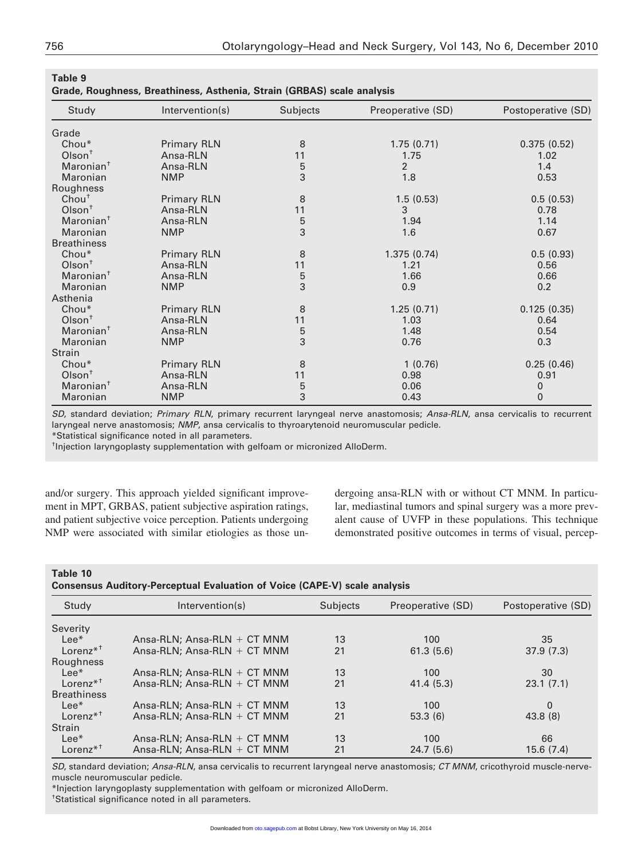| Study                 | Intervention(s)    | Subjects | Preoperative (SD) | Postoperative (SD) |
|-----------------------|--------------------|----------|-------------------|--------------------|
| Grade                 |                    |          |                   |                    |
| Chou*                 | <b>Primary RLN</b> | 8        | 1.75(0.71)        | 0.375(0.52)        |
| Olson <sup>†</sup>    | Ansa-RLN           | 11       | 1.75              | 1.02               |
| Maronian <sup>†</sup> | Ansa-RLN           | 5        | $\overline{2}$    | 1.4                |
| Maronian              | <b>NMP</b>         | 3        | 1.8               | 0.53               |
| Roughness             |                    |          |                   |                    |
| $Chou+$               | <b>Primary RLN</b> | 8        | 1.5(0.53)         | 0.5(0.53)          |
| Olson <sup>†</sup>    | Ansa-RLN           | 11       | 3                 | 0.78               |
| Maronian <sup>†</sup> | Ansa-RLN           | 5        | 1.94              | 1.14               |
| Maronian              | <b>NMP</b>         | 3        | 1.6               | 0.67               |
| <b>Breathiness</b>    |                    |          |                   |                    |
| Chou*                 | <b>Primary RLN</b> | 8        | 1.375(0.74)       | 0.5(0.93)          |
| Olson <sup>†</sup>    | Ansa-RLN           | 11       | 1.21              | 0.56               |
| $Maronian^{\dagger}$  | Ansa-RLN           | 5        | 1.66              | 0.66               |
| Maronian              | <b>NMP</b>         | 3        | 0.9               | 0.2                |
| Asthenia              |                    |          |                   |                    |
| Chou*                 | <b>Primary RLN</b> | 8        | 1.25(0.71)        | 0.125(0.35)        |
| Olson <sup>†</sup>    | Ansa-RLN           | 11       | 1.03              | 0.64               |
| Maronian <sup>†</sup> | Ansa-RLN           | 5        | 1.48              | 0.54               |
| Maronian              | <b>NMP</b>         | 3        | 0.76              | 0.3                |
| <b>Strain</b>         |                    |          |                   |                    |
| Chou*                 | <b>Primary RLN</b> | 8        | 1(0.76)           | 0.25(0.46)         |
| $Olson^{\dagger}$     | Ansa-RLN           | 11       | 0.98              | 0.91               |
| Maronian <sup>+</sup> | Ansa-RLN           | 5        | 0.06              | 0                  |
| Maronian              | <b>NMP</b>         | 3        | 0.43              | 0                  |

| lable 9                                                                |  |  |  |  |
|------------------------------------------------------------------------|--|--|--|--|
| Grade, Roughness, Breathiness, Asthenia, Strain (GRBAS) scale analysis |  |  |  |  |

*SD*, standard deviation; *Primary RLN*, primary recurrent laryngeal nerve anastomosis; *Ansa-RLN*, ansa cervicalis to recurrent laryngeal nerve anastomosis; *NMP*, ansa cervicalis to thyroarytenoid neuromuscular pedicle.

\*Statistical significance noted in all parameters.

† Injection laryngoplasty supplementation with gelfoam or micronized AlloDerm.

and/or surgery. This approach yielded significant improvement in MPT, GRBAS, patient subjective aspiration ratings, and patient subjective voice perception. Patients undergoing NMP were associated with similar etiologies as those undergoing ansa-RLN with or without CT MNM. In particular, mediastinal tumors and spinal surgery was a more prevalent cause of UVFP in these populations. This technique demonstrated positive outcomes in terms of visual, percep-

**Table 10**

**Consensus Auditory-Perceptual Evaluation of Voice (CAPE-V) scale analysis**

| Study                   | Intervention(s)                | Subjects | Preoperative (SD) | Postoperative (SD) |  |
|-------------------------|--------------------------------|----------|-------------------|--------------------|--|
| Severity                |                                |          |                   |                    |  |
| $Lee^*$                 | Ansa-RLN; $Ansa$ -RLN + CT MNM | 13       | 100               | 35                 |  |
| Lorenz $*^{\dagger}$    | Ansa-RLN; Ansa-RLN + CT MNM    | 21       | 61.3(5.6)         | 37.9(7.3)          |  |
| Roughness               |                                |          |                   |                    |  |
| $Lee^*$                 | Ansa-RLN; $Ansa$ -RLN + CT MNM | 13       | 100               | 30                 |  |
| Lorenz $*$ <sup>†</sup> | Ansa-RLN; Ansa-RLN + CT MNM    | 21       | 41.4(5.3)         | 23.1(7.1)          |  |
| <b>Breathiness</b>      |                                |          |                   |                    |  |
| $Lee^*$                 | Ansa-RLN; $Ansa$ -RLN + CT MNM | 13       | 100               | $\Omega$           |  |
| Lorenz $*^{\dagger}$    | Ansa-RLN; $Ansa$ -RLN + CT MNM | 21       | 53.3(6)           | 43.8(8)            |  |
| Strain                  |                                |          |                   |                    |  |
| $Lee^*$                 | Ansa-RLN; $Ansa$ -RLN + CT MNM | 13       | 100               | 66                 |  |
| Lorenz $*$ <sup>†</sup> | Ansa-RLN; Ansa-RLN + CT MNM    | 21       | 24.7(5.6)         | 15.6(7.4)          |  |

*SD*, standard deviation; *Ansa-RLN*, ansa cervicalis to recurrent laryngeal nerve anastomosis; *CT MNM*, cricothyroid muscle-nervemuscle neuromuscular pedicle.

\*Injection laryngoplasty supplementation with gelfoam or micronized AlloDerm.

† Statistical significance noted in all parameters.

<span id="page-8-0"></span>**Table 9**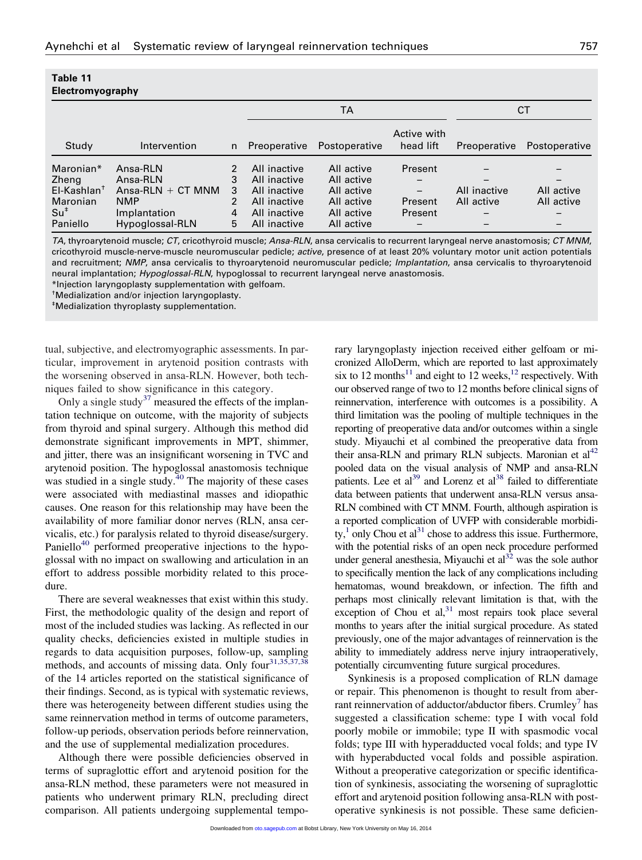<span id="page-9-0"></span>

| Table 11         |
|------------------|
| Electromyography |

| Study                                        | Intervention                                  | n.     | TA                                           |                                        |                          | CТ           |               |
|----------------------------------------------|-----------------------------------------------|--------|----------------------------------------------|----------------------------------------|--------------------------|--------------|---------------|
|                                              |                                               |        | Preoperative                                 | Postoperative                          | Active with<br>head lift | Preoperative | Postoperative |
| Maronian*<br>Zheng<br>$El-Kashlan^{\dagger}$ | Ansa-RLN<br>Ansa-RLN<br>Ansa-RLN $+$ CT MNM   | 3<br>3 | All inactive<br>All inactive<br>All inactive | All active<br>All active<br>All active | Present                  | All inactive | All active    |
| Maronian<br>$Su^*$<br>Paniello               | <b>NMP</b><br>Implantation<br>Hypoglossal-RLN | 4<br>5 | All inactive<br>All inactive<br>All inactive | All active<br>All active<br>All active | Present<br>Present       | All active   | All active    |

*TA*, thyroarytenoid muscle; *CT*, cricothyroid muscle; *Ansa-RLN*, ansa cervicalis to recurrent laryngeal nerve anastomosis; *CT MNM*, cricothyroid muscle-nerve-muscle neuromuscular pedicle; *active*, presence of at least 20% voluntary motor unit action potentials and recruitment; *NMP*, ansa cervicalis to thyroarytenoid neuromuscular pedicle; *Implantation*, ansa cervicalis to thyroarytenoid neural implantation; *Hypoglossal-RLN*, hypoglossal to recurrent laryngeal nerve anastomosis.

\*Injection laryngoplasty supplementation with gelfoam.

† Medialization and/or injection laryngoplasty.

‡ Medialization thyroplasty supplementation.

tual, subjective, and electromyographic assessments. In particular, improvement in arytenoid position contrasts with the worsening observed in ansa-RLN. However, both techniques failed to show significance in this category.

Only a single study<sup>37</sup> measured the effects of the implantation technique on outcome, with the majority of subjects from thyroid and spinal surgery. Although this method did demonstrate significant improvements in MPT, shimmer, and jitter, there was an insignificant worsening in TVC and arytenoid position. The hypoglossal anastomosis technique was studied in a single study.<sup>40</sup> The majority of these cases were associated with mediastinal masses and idiopathic causes. One reason for this relationship may have been the availability of more familiar donor nerves (RLN, ansa cervicalis, etc.) for paralysis related to thyroid disease/surgery. Paniello<sup>[40](#page-11-0)</sup> performed preoperative injections to the hypoglossal with no impact on swallowing and articulation in an effort to address possible morbidity related to this procedure.

There are several weaknesses that exist within this study. First, the methodologic quality of the design and report of most of the included studies was lacking. As reflected in our quality checks, deficiencies existed in multiple studies in regards to data acquisition purposes, follow-up, sampling methods, and accounts of missing data. Only four<sup>[31,35,37,38](#page-10-0)</sup> of the 14 articles reported on the statistical significance of their findings. Second, as is typical with systematic reviews, there was heterogeneity between different studies using the same reinnervation method in terms of outcome parameters, follow-up periods, observation periods before reinnervation, and the use of supplemental medialization procedures.

Although there were possible deficiencies observed in terms of supraglottic effort and arytenoid position for the ansa-RLN method, these parameters were not measured in patients who underwent primary RLN, precluding direct comparison. All patients undergoing supplemental temporary laryngoplasty injection received either gelfoam or micronized AlloDerm, which are reported to last approximately six to 12 months<sup>11</sup> and eight to 12 weeks,<sup>12</sup> respectively. With our observed range of two to 12 months before clinical signs of reinnervation, interference with outcomes is a possibility. A third limitation was the pooling of multiple techniques in the reporting of preoperative data and/or outcomes within a single study. Miyauchi et al combined the preoperative data from their ansa-RLN and primary RLN subjects. Maronian et al<sup>42</sup> pooled data on the visual analysis of NMP and ansa-RLN patients. Lee et al $^{39}$  and Lorenz et al $^{38}$  failed to differentiate data between patients that underwent ansa-RLN versus ansa-RLN combined with CT MNM. Fourth, although aspiration is a reported complication of UVFP with considerable morbidity, $\frac{1}{1}$  only Chou et al<sup>31</sup> chose to address this issue. Furthermore, with the potential risks of an open neck procedure performed under general anesthesia, Miyauchi et  $al<sup>32</sup>$  was the sole author to specifically mention the lack of any complications including hematomas, wound breakdown, or infection. The fifth and perhaps most clinically relevant limitation is that, with the exception of Chou et  $al$ ,  $31$  most repairs took place several months to years after the initial surgical procedure. As stated previously, one of the major advantages of reinnervation is the ability to immediately address nerve injury intraoperatively, potentially circumventing future surgical procedures.

Synkinesis is a proposed complication of RLN damage or repair. This phenomenon is thought to result from aber-rant reinnervation of adductor/abductor fibers. Crumley<sup>[7](#page-10-0)</sup> has suggested a classification scheme: type I with vocal fold poorly mobile or immobile; type II with spasmodic vocal folds; type III with hyperadducted vocal folds; and type IV with hyperabducted vocal folds and possible aspiration. Without a preoperative categorization or specific identification of synkinesis, associating the worsening of supraglottic effort and arytenoid position following ansa-RLN with postoperative synkinesis is not possible. These same deficien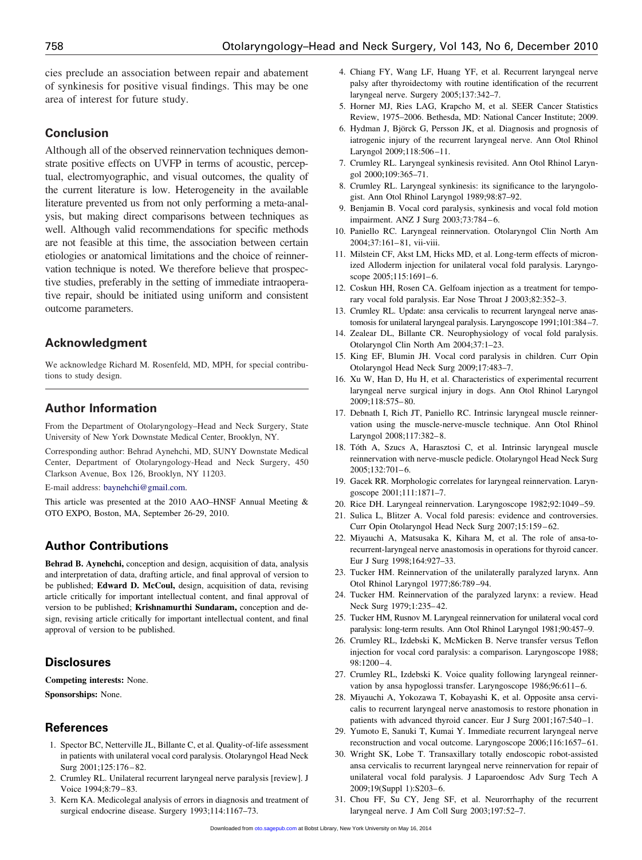<span id="page-10-0"></span>cies preclude an association between repair and abatement of synkinesis for positive visual findings. This may be one area of interest for future study.

#### **Conclusion**

Although all of the observed reinnervation techniques demonstrate positive effects on UVFP in terms of acoustic, perceptual, electromyographic, and visual outcomes, the quality of the current literature is low. Heterogeneity in the available literature prevented us from not only performing a meta-analysis, but making direct comparisons between techniques as well. Although valid recommendations for specific methods are not feasible at this time, the association between certain etiologies or anatomical limitations and the choice of reinnervation technique is noted. We therefore believe that prospective studies, preferably in the setting of immediate intraoperative repair, should be initiated using uniform and consistent outcome parameters.

#### **Acknowledgment**

We acknowledge Richard M. Rosenfeld, MD, MPH, for special contributions to study design.

#### **Author Information**

From the Department of Otolaryngology–Head and Neck Surgery, State University of New York Downstate Medical Center, Brooklyn, NY.

Corresponding author: Behrad Aynehchi, MD, SUNY Downstate Medical Center, Department of Otolaryngology-Head and Neck Surgery, 450 Clarkson Avenue, Box 126, Brooklyn, NY 11203.

E-mail address: [baynehchi@gmail.com.](mailto:baynehchi@gmail.com)

This article was presented at the 2010 AAO–HNSF Annual Meeting & OTO EXPO, Boston, MA, September 26-29, 2010.

#### **Author Contributions**

**Behrad B. Aynehchi,** conception and design, acquisition of data, analysis and interpretation of data, drafting article, and final approval of version to be published; **Edward D. McCoul,** design, acquisition of data, revising article critically for important intellectual content, and final approval of version to be published; **Krishnamurthi Sundaram,** conception and design, revising article critically for important intellectual content, and final approval of version to be published.

#### **Disclosures**

**Competing interests:** None.

**Sponsorships:** None.

#### **References**

- 1. Spector BC, Netterville JL, Billante C, et al. Quality-of-life assessment in patients with unilateral vocal cord paralysis. Otolaryngol Head Neck Surg 2001;125:176-82.
- 2. Crumley RL. Unilateral recurrent laryngeal nerve paralysis [review]. J Voice 1994;8:79 – 83.
- 3. Kern KA. Medicolegal analysis of errors in diagnosis and treatment of surgical endocrine disease. Surgery 1993;114:1167–73.
- 4. Chiang FY, Wang LF, Huang YF, et al. Recurrent laryngeal nerve palsy after thyroidectomy with routine identification of the recurrent laryngeal nerve. Surgery 2005;137:342–7.
- 5. Horner MJ, Ries LAG, Krapcho M, et al. SEER Cancer Statistics Review, 1975–2006. Bethesda, MD: National Cancer Institute; 2009.
- 6. Hydman J, Björck G, Persson JK, et al. Diagnosis and prognosis of iatrogenic injury of the recurrent laryngeal nerve. Ann Otol Rhinol Laryngol 2009;118:506 –11.
- 7. Crumley RL. Laryngeal synkinesis revisited. Ann Otol Rhinol Laryngol 2000;109:365–71.
- 8. Crumley RL. Laryngeal synkinesis: its significance to the laryngologist. Ann Otol Rhinol Laryngol 1989;98:87–92.
- 9. Benjamin B. Vocal cord paralysis, synkinesis and vocal fold motion impairment. ANZ J Surg 2003;73:784-6.
- 10. Paniello RC. Laryngeal reinnervation. Otolaryngol Clin North Am 2004;37:161– 81, vii-viii.
- 11. Milstein CF, Akst LM, Hicks MD, et al. Long-term effects of micronized Alloderm injection for unilateral vocal fold paralysis. Laryngoscope 2005;115:1691-6.
- 12. Coskun HH, Rosen CA. Gelfoam injection as a treatment for temporary vocal fold paralysis. Ear Nose Throat J 2003;82:352–3.
- 13. Crumley RL. Update: ansa cervicalis to recurrent laryngeal nerve anastomosis for unilateral laryngeal paralysis. Laryngoscope 1991;101:384 –7.
- 14. Zealear DL, Billante CR. Neurophysiology of vocal fold paralysis. Otolaryngol Clin North Am 2004;37:1–23.
- 15. King EF, Blumin JH. Vocal cord paralysis in children. Curr Opin Otolaryngol Head Neck Surg 2009;17:483–7.
- 16. Xu W, Han D, Hu H, et al. Characteristics of experimental recurrent laryngeal nerve surgical injury in dogs. Ann Otol Rhinol Laryngol 2009;118:575– 80.
- 17. Debnath I, Rich JT, Paniello RC. Intrinsic laryngeal muscle reinnervation using the muscle-nerve-muscle technique. Ann Otol Rhinol Laryngol 2008;117:382– 8.
- 18. Tóth A, Szucs A, Harasztosi C, et al. Intrinsic laryngeal muscle reinnervation with nerve-muscle pedicle. Otolaryngol Head Neck Surg 2005;132:701– 6.
- 19. Gacek RR. Morphologic correlates for laryngeal reinnervation. Laryngoscope 2001;111:1871–7.
- 20. Rice DH. Laryngeal reinnervation. Laryngoscope 1982;92:1049 –59.
- 21. Sulica L, Blitzer A. Vocal fold paresis: evidence and controversies. Curr Opin Otolaryngol Head Neck Surg 2007;15:159 – 62.
- 22. Miyauchi A, Matsusaka K, Kihara M, et al. The role of ansa-torecurrent-laryngeal nerve anastomosis in operations for thyroid cancer. Eur J Surg 1998;164:927–33.
- 23. Tucker HM. Reinnervation of the unilaterally paralyzed larynx. Ann Otol Rhinol Laryngol 1977;86:789 –94.
- 24. Tucker HM. Reinnervation of the paralyzed larynx: a review. Head Neck Surg 1979;1:235– 42.
- 25. Tucker HM, Rusnov M. Laryngeal reinnervation for unilateral vocal cord paralysis: long-term results. Ann Otol Rhinol Laryngol 1981;90:457–9.
- 26. Crumley RL, Izdebski K, McMicken B. Nerve transfer versus Teflon injection for vocal cord paralysis: a comparison. Laryngoscope 1988;  $98:1200 - 4.$
- 27. Crumley RL, Izdebski K. Voice quality following laryngeal reinnervation by ansa hypoglossi transfer. Laryngoscope 1986;96:611-6.
- 28. Miyauchi A, Yokozawa T, Kobayashi K, et al. Opposite ansa cervicalis to recurrent laryngeal nerve anastomosis to restore phonation in patients with advanced thyroid cancer. Eur J Surg 2001;167:540 –1.
- 29. Yumoto E, Sanuki T, Kumai Y. Immediate recurrent laryngeal nerve reconstruction and vocal outcome. Laryngoscope 2006;116:1657-61.
- 30. Wright SK, Lobe T. Transaxillary totally endoscopic robot-assisted ansa cervicalis to recurrent laryngeal nerve reinnervation for repair of unilateral vocal fold paralysis. J Laparoendosc Adv Surg Tech A 2009;19(Suppl 1):S203– 6.
- 31. Chou FF, Su CY, Jeng SF, et al. Neurorrhaphy of the recurrent laryngeal nerve. J Am Coll Surg 2003;197:52–7.